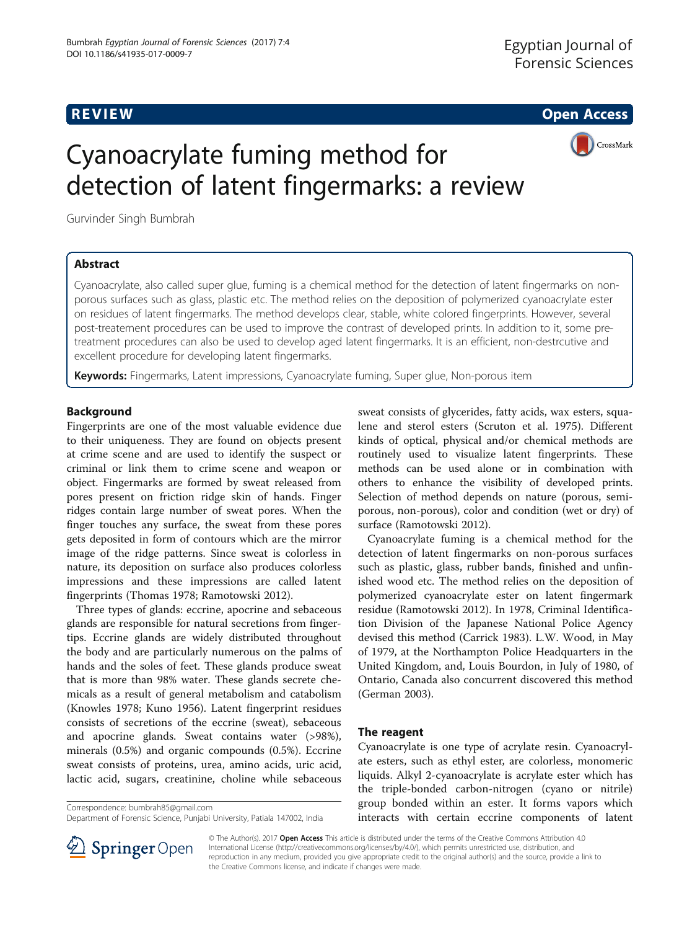**REVIEW CONSTRUCTION CONSTRUCTION CONSTRUCTS** 



# Cyanoacrylate fuming method for detection of latent fingermarks: a review

Gurvinder Singh Bumbrah

## Abstract

Cyanoacrylate, also called super glue, fuming is a chemical method for the detection of latent fingermarks on nonporous surfaces such as glass, plastic etc. The method relies on the deposition of polymerized cyanoacrylate ester on residues of latent fingermarks. The method develops clear, stable, white colored fingerprints. However, several post-treatement procedures can be used to improve the contrast of developed prints. In addition to it, some pretreatment procedures can also be used to develop aged latent fingermarks. It is an efficient, non-destrcutive and excellent procedure for developing latent fingermarks.

Keywords: Fingermarks, Latent impressions, Cyanoacrylate fuming, Super glue, Non-porous item

### **Background**

Fingerprints are one of the most valuable evidence due to their uniqueness. They are found on objects present at crime scene and are used to identify the suspect or criminal or link them to crime scene and weapon or object. Fingermarks are formed by sweat released from pores present on friction ridge skin of hands. Finger ridges contain large number of sweat pores. When the finger touches any surface, the sweat from these pores gets deposited in form of contours which are the mirror image of the ridge patterns. Since sweat is colorless in nature, its deposition on surface also produces colorless impressions and these impressions are called latent fingerprints (Thomas [1978](#page-7-0); Ramotowski [2012](#page-7-0)).

Three types of glands: eccrine, apocrine and sebaceous glands are responsible for natural secretions from fingertips. Eccrine glands are widely distributed throughout the body and are particularly numerous on the palms of hands and the soles of feet. These glands produce sweat that is more than 98% water. These glands secrete chemicals as a result of general metabolism and catabolism (Knowles [1978](#page-6-0); Kuno [1956](#page-6-0)). Latent fingerprint residues consists of secretions of the eccrine (sweat), sebaceous and apocrine glands. Sweat contains water (>98%), minerals (0.5%) and organic compounds (0.5%). Eccrine sweat consists of proteins, urea, amino acids, uric acid, lactic acid, sugars, creatinine, choline while sebaceous

Correspondence: [bumbrah85@gmail.com](mailto:bumbrah85@gmail.com)

sweat consists of glycerides, fatty acids, wax esters, squalene and sterol esters (Scruton et al. [1975](#page-7-0)). Different kinds of optical, physical and/or chemical methods are routinely used to visualize latent fingerprints. These methods can be used alone or in combination with others to enhance the visibility of developed prints. Selection of method depends on nature (porous, semiporous, non-porous), color and condition (wet or dry) of surface (Ramotowski [2012](#page-7-0)).

Cyanoacrylate fuming is a chemical method for the detection of latent fingermarks on non-porous surfaces such as plastic, glass, rubber bands, finished and unfinished wood etc. The method relies on the deposition of polymerized cyanoacrylate ester on latent fingermark residue (Ramotowski [2012](#page-7-0)). In 1978, Criminal Identification Division of the Japanese National Police Agency devised this method (Carrick [1983](#page-6-0)). L.W. Wood, in May of 1979, at the Northampton Police Headquarters in the United Kingdom, and, Louis Bourdon, in July of 1980, of Ontario, Canada also concurrent discovered this method (German [2003\)](#page-6-0).

#### The reagent

Cyanoacrylate is one type of acrylate resin. Cyanoacrylate esters, such as ethyl ester, are colorless, monomeric liquids. Alkyl 2-cyanoacrylate is acrylate ester which has the triple-bonded carbon-nitrogen (cyano or nitrile) group bonded within an ester. It forms vapors which interacts with certain eccrine components of latent



© The Author(s). 2017 Open Access This article is distributed under the terms of the Creative Commons Attribution 4.0 International License ([http://creativecommons.org/licenses/by/4.0/\)](http://creativecommons.org/licenses/by/4.0/), which permits unrestricted use, distribution, and reproduction in any medium, provided you give appropriate credit to the original author(s) and the source, provide a link to the Creative Commons license, and indicate if changes were made.

Department of Forensic Science, Punjabi University, Patiala 147002, India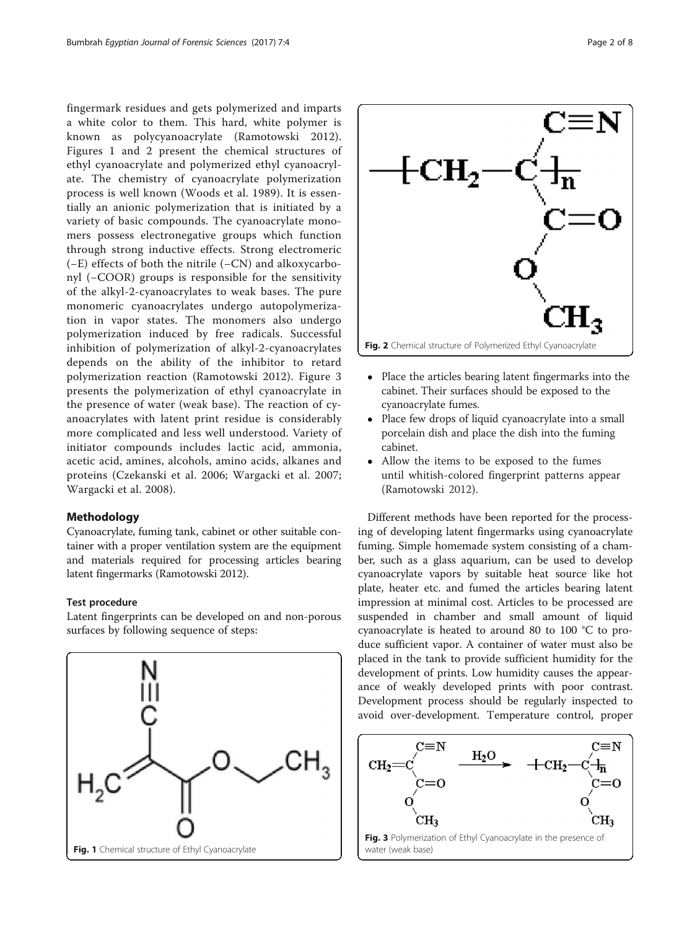fingermark residues and gets polymerized and imparts a white color to them. This hard, white polymer is known as polycyanoacrylate (Ramotowski [2012](#page-7-0)). Figures 1 and 2 present the chemical structures of ethyl cyanoacrylate and polymerized ethyl cyanoacrylate. The chemistry of cyanoacrylate polymerization process is well known (Woods et al. [1989](#page-7-0)). It is essentially an anionic polymerization that is initiated by a variety of basic compounds. The cyanoacrylate monomers possess electronegative groups which function through strong inductive effects. Strong electromeric (−E) effects of both the nitrile (−CN) and alkoxycarbonyl (−COOR) groups is responsible for the sensitivity of the alkyl-2-cyanoacrylates to weak bases. The pure monomeric cyanoacrylates undergo autopolymerization in vapor states. The monomers also undergo polymerization induced by free radicals. Successful inhibition of polymerization of alkyl-2-cyanoacrylates depends on the ability of the inhibitor to retard polymerization reaction (Ramotowski [2012](#page-7-0)). Figure 3 presents the polymerization of ethyl cyanoacrylate in the presence of water (weak base). The reaction of cyanoacrylates with latent print residue is considerably more complicated and less well understood. Variety of initiator compounds includes lactic acid, ammonia, acetic acid, amines, alcohols, amino acids, alkanes and proteins (Czekanski et al. [2006;](#page-6-0) Wargacki et al. [2007](#page-7-0); Wargacki et al. [2008\)](#page-7-0).

#### Methodology

Cyanoacrylate, fuming tank, cabinet or other suitable container with a proper ventilation system are the equipment and materials required for processing articles bearing latent fingermarks (Ramotowski [2012\)](#page-7-0).

#### Test procedure

Latent fingerprints can be developed on and non-porous surfaces by following sequence of steps:





- Place the articles bearing latent fingermarks into the cabinet. Their surfaces should be exposed to the cyanoacrylate fumes.
- Place few drops of liquid cyanoacrylate into a small porcelain dish and place the dish into the fuming cabinet.
- Allow the items to be exposed to the fumes until whitish-colored fingerprint patterns appear (Ramotowski [2012\)](#page-7-0).

Different methods have been reported for the processing of developing latent fingermarks using cyanoacrylate fuming. Simple homemade system consisting of a chamber, such as a glass aquarium, can be used to develop cyanoacrylate vapors by suitable heat source like hot plate, heater etc. and fumed the articles bearing latent impression at minimal cost. Articles to be processed are suspended in chamber and small amount of liquid cyanoacrylate is heated to around 80 to 100 °C to produce sufficient vapor. A container of water must also be placed in the tank to provide sufficient humidity for the development of prints. Low humidity causes the appearance of weakly developed prints with poor contrast. Development process should be regularly inspected to avoid over-development. Temperature control, proper

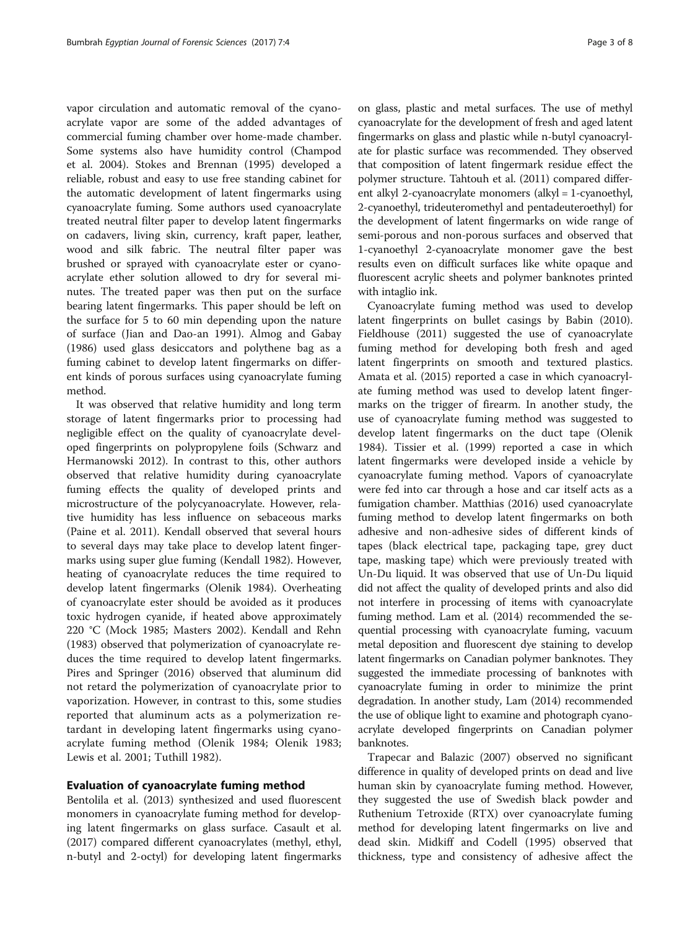vapor circulation and automatic removal of the cyanoacrylate vapor are some of the added advantages of commercial fuming chamber over home-made chamber. Some systems also have humidity control (Champod et al. [2004](#page-6-0)). Stokes and Brennan [\(1995\)](#page-7-0) developed a reliable, robust and easy to use free standing cabinet for the automatic development of latent fingermarks using cyanoacrylate fuming. Some authors used cyanoacrylate treated neutral filter paper to develop latent fingermarks on cadavers, living skin, currency, kraft paper, leather, wood and silk fabric. The neutral filter paper was brushed or sprayed with cyanoacrylate ester or cyanoacrylate ether solution allowed to dry for several minutes. The treated paper was then put on the surface bearing latent fingermarks. This paper should be left on the surface for 5 to 60 min depending upon the nature of surface (Jian and Dao-an [1991](#page-6-0)). Almog and Gabay ([1986](#page-6-0)) used glass desiccators and polythene bag as a fuming cabinet to develop latent fingermarks on different kinds of porous surfaces using cyanoacrylate fuming method.

It was observed that relative humidity and long term storage of latent fingermarks prior to processing had negligible effect on the quality of cyanoacrylate developed fingerprints on polypropylene foils (Schwarz and Hermanowski [2012\)](#page-7-0). In contrast to this, other authors observed that relative humidity during cyanoacrylate fuming effects the quality of developed prints and microstructure of the polycyanoacrylate. However, relative humidity has less influence on sebaceous marks (Paine et al. [2011](#page-7-0)). Kendall observed that several hours to several days may take place to develop latent fingermarks using super glue fuming (Kendall [1982](#page-6-0)). However, heating of cyanoacrylate reduces the time required to develop latent fingermarks (Olenik [1984](#page-6-0)). Overheating of cyanoacrylate ester should be avoided as it produces toxic hydrogen cyanide, if heated above approximately 220 °C (Mock [1985;](#page-6-0) Masters [2002](#page-6-0)). Kendall and Rehn ([1983](#page-6-0)) observed that polymerization of cyanoacrylate reduces the time required to develop latent fingermarks. Pires and Springer ([2016](#page-7-0)) observed that aluminum did not retard the polymerization of cyanoacrylate prior to vaporization. However, in contrast to this, some studies reported that aluminum acts as a polymerization retardant in developing latent fingermarks using cyanoacrylate fuming method (Olenik [1984;](#page-6-0) Olenik [1983](#page-6-0); Lewis et al. [2001](#page-6-0); Tuthill [1982\)](#page-7-0).

#### Evaluation of cyanoacrylate fuming method

Bentolila et al. [\(2013\)](#page-6-0) synthesized and used fluorescent monomers in cyanoacrylate fuming method for developing latent fingermarks on glass surface. Casault et al. ([2017](#page-6-0)) compared different cyanoacrylates (methyl, ethyl, n-butyl and 2-octyl) for developing latent fingermarks

on glass, plastic and metal surfaces. The use of methyl cyanoacrylate for the development of fresh and aged latent fingermarks on glass and plastic while n-butyl cyanoacrylate for plastic surface was recommended. They observed that composition of latent fingermark residue effect the polymer structure. Tahtouh et al. [\(2011\)](#page-7-0) compared different alkyl 2-cyanoacrylate monomers (alkyl = 1-cyanoethyl, 2-cyanoethyl, trideuteromethyl and pentadeuteroethyl) for the development of latent fingermarks on wide range of semi-porous and non-porous surfaces and observed that 1-cyanoethyl 2-cyanoacrylate monomer gave the best results even on difficult surfaces like white opaque and fluorescent acrylic sheets and polymer banknotes printed with intaglio ink.

Cyanoacrylate fuming method was used to develop latent fingerprints on bullet casings by Babin ([2010](#page-6-0)). Fieldhouse ([2011](#page-6-0)) suggested the use of cyanoacrylate fuming method for developing both fresh and aged latent fingerprints on smooth and textured plastics. Amata et al. [\(2015\)](#page-6-0) reported a case in which cyanoacrylate fuming method was used to develop latent fingermarks on the trigger of firearm. In another study, the use of cyanoacrylate fuming method was suggested to develop latent fingermarks on the duct tape (Olenik [1984](#page-6-0)). Tissier et al. [\(1999\)](#page-7-0) reported a case in which latent fingermarks were developed inside a vehicle by cyanoacrylate fuming method. Vapors of cyanoacrylate were fed into car through a hose and car itself acts as a fumigation chamber. Matthias [\(2016](#page-6-0)) used cyanoacrylate fuming method to develop latent fingermarks on both adhesive and non-adhesive sides of different kinds of tapes (black electrical tape, packaging tape, grey duct tape, masking tape) which were previously treated with Un-Du liquid. It was observed that use of Un-Du liquid did not affect the quality of developed prints and also did not interfere in processing of items with cyanoacrylate fuming method. Lam et al. ([2014](#page-6-0)) recommended the sequential processing with cyanoacrylate fuming, vacuum metal deposition and fluorescent dye staining to develop latent fingermarks on Canadian polymer banknotes. They suggested the immediate processing of banknotes with cyanoacrylate fuming in order to minimize the print degradation. In another study, Lam [\(2014](#page-6-0)) recommended the use of oblique light to examine and photograph cyanoacrylate developed fingerprints on Canadian polymer banknotes.

Trapecar and Balazic ([2007](#page-7-0)) observed no significant difference in quality of developed prints on dead and live human skin by cyanoacrylate fuming method. However, they suggested the use of Swedish black powder and Ruthenium Tetroxide (RTX) over cyanoacrylate fuming method for developing latent fingermarks on live and dead skin. Midkiff and Codell [\(1995\)](#page-6-0) observed that thickness, type and consistency of adhesive affect the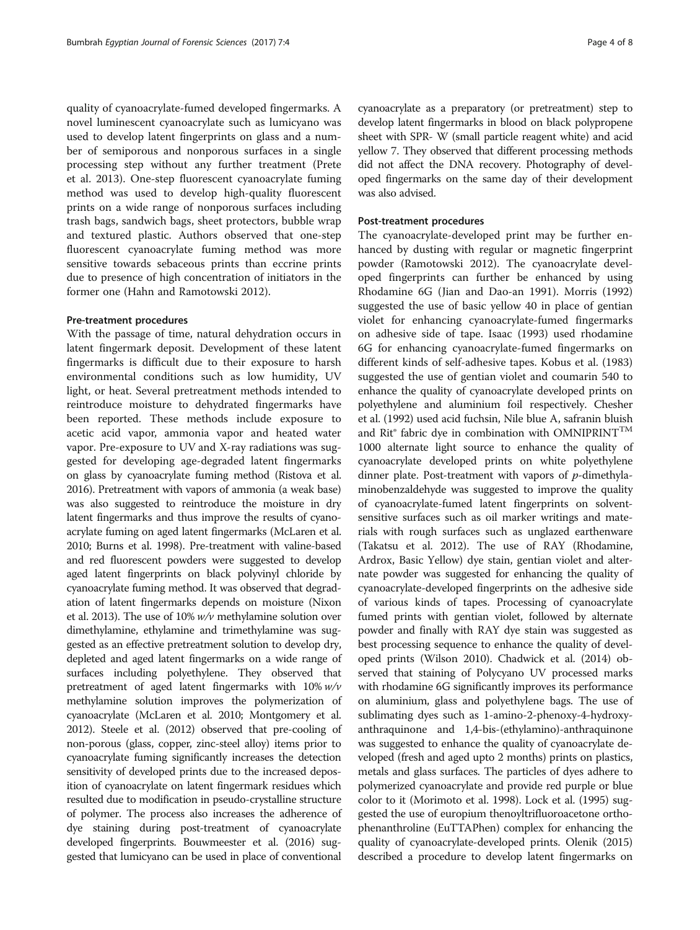quality of cyanoacrylate-fumed developed fingermarks. A novel luminescent cyanoacrylate such as lumicyano was used to develop latent fingerprints on glass and a number of semiporous and nonporous surfaces in a single processing step without any further treatment (Prete et al. [2013](#page-7-0)). One-step fluorescent cyanoacrylate fuming method was used to develop high-quality fluorescent prints on a wide range of nonporous surfaces including trash bags, sandwich bags, sheet protectors, bubble wrap and textured plastic. Authors observed that one-step fluorescent cyanoacrylate fuming method was more sensitive towards sebaceous prints than eccrine prints due to presence of high concentration of initiators in the former one (Hahn and Ramotowski [2012](#page-6-0)).

#### Pre-treatment procedures

With the passage of time, natural dehydration occurs in latent fingermark deposit. Development of these latent fingermarks is difficult due to their exposure to harsh environmental conditions such as low humidity, UV light, or heat. Several pretreatment methods intended to reintroduce moisture to dehydrated fingermarks have been reported. These methods include exposure to acetic acid vapor, ammonia vapor and heated water vapor. Pre-exposure to UV and X-ray radiations was suggested for developing age-degraded latent fingermarks on glass by cyanoacrylate fuming method (Ristova et al. [2016\)](#page-7-0). Pretreatment with vapors of ammonia (a weak base) was also suggested to reintroduce the moisture in dry latent fingermarks and thus improve the results of cyanoacrylate fuming on aged latent fingermarks (McLaren et al. [2010;](#page-6-0) Burns et al. [1998](#page-6-0)). Pre-treatment with valine-based and red fluorescent powders were suggested to develop aged latent fingerprints on black polyvinyl chloride by cyanoacrylate fuming method. It was observed that degradation of latent fingermarks depends on moisture (Nixon et al. [2013](#page-6-0)). The use of 10% w/v methylamine solution over dimethylamine, ethylamine and trimethylamine was suggested as an effective pretreatment solution to develop dry, depleted and aged latent fingermarks on a wide range of surfaces including polyethylene. They observed that pretreatment of aged latent fingermarks with  $10\%$  w/v methylamine solution improves the polymerization of cyanoacrylate (McLaren et al. [2010;](#page-6-0) Montgomery et al. [2012\)](#page-6-0). Steele et al. ([2012\)](#page-7-0) observed that pre-cooling of non-porous (glass, copper, zinc-steel alloy) items prior to cyanoacrylate fuming significantly increases the detection sensitivity of developed prints due to the increased deposition of cyanoacrylate on latent fingermark residues which resulted due to modification in pseudo-crystalline structure of polymer. The process also increases the adherence of dye staining during post-treatment of cyanoacrylate developed fingerprints. Bouwmeester et al. ([2016\)](#page-6-0) suggested that lumicyano can be used in place of conventional

cyanoacrylate as a preparatory (or pretreatment) step to develop latent fingermarks in blood on black polypropene sheet with SPR- W (small particle reagent white) and acid yellow 7. They observed that different processing methods did not affect the DNA recovery. Photography of developed fingermarks on the same day of their development was also advised.

#### Post-treatment procedures

The cyanoacrylate-developed print may be further enhanced by dusting with regular or magnetic fingerprint powder (Ramotowski [2012\)](#page-7-0). The cyanoacrylate developed fingerprints can further be enhanced by using Rhodamine 6G (Jian and Dao-an [1991](#page-6-0)). Morris ([1992](#page-6-0)) suggested the use of basic yellow 40 in place of gentian violet for enhancing cyanoacrylate-fumed fingermarks on adhesive side of tape. Isaac ([1993](#page-6-0)) used rhodamine 6G for enhancing cyanoacrylate-fumed fingermarks on different kinds of self-adhesive tapes. Kobus et al. ([1983](#page-6-0)) suggested the use of gentian violet and coumarin 540 to enhance the quality of cyanoacrylate developed prints on polyethylene and aluminium foil respectively. Chesher et al. ([1992\)](#page-6-0) used acid fuchsin, Nile blue A, safranin bluish and Rit® fabric dye in combination with OMNIPRINT<sup>TM</sup> 1000 alternate light source to enhance the quality of cyanoacrylate developed prints on white polyethylene dinner plate. Post-treatment with vapors of p-dimethylaminobenzaldehyde was suggested to improve the quality of cyanoacrylate-fumed latent fingerprints on solventsensitive surfaces such as oil marker writings and materials with rough surfaces such as unglazed earthenware (Takatsu et al. [2012](#page-7-0)). The use of RAY (Rhodamine, Ardrox, Basic Yellow) dye stain, gentian violet and alternate powder was suggested for enhancing the quality of cyanoacrylate-developed fingerprints on the adhesive side of various kinds of tapes. Processing of cyanoacrylate fumed prints with gentian violet, followed by alternate powder and finally with RAY dye stain was suggested as best processing sequence to enhance the quality of developed prints (Wilson [2010\)](#page-7-0). Chadwick et al. ([2014\)](#page-6-0) observed that staining of Polycyano UV processed marks with rhodamine 6G significantly improves its performance on aluminium, glass and polyethylene bags. The use of sublimating dyes such as 1-amino-2-phenoxy-4-hydroxyanthraquinone and 1,4-bis-(ethylamino)-anthraquinone was suggested to enhance the quality of cyanoacrylate developed (fresh and aged upto 2 months) prints on plastics, metals and glass surfaces. The particles of dyes adhere to polymerized cyanoacrylate and provide red purple or blue color to it (Morimoto et al. [1998\)](#page-6-0). Lock et al. ([1995](#page-6-0)) suggested the use of europium thenoyltrifluoroacetone orthophenanthroline (EuTTAPhen) complex for enhancing the quality of cyanoacrylate-developed prints. Olenik [\(2015](#page-6-0)) described a procedure to develop latent fingermarks on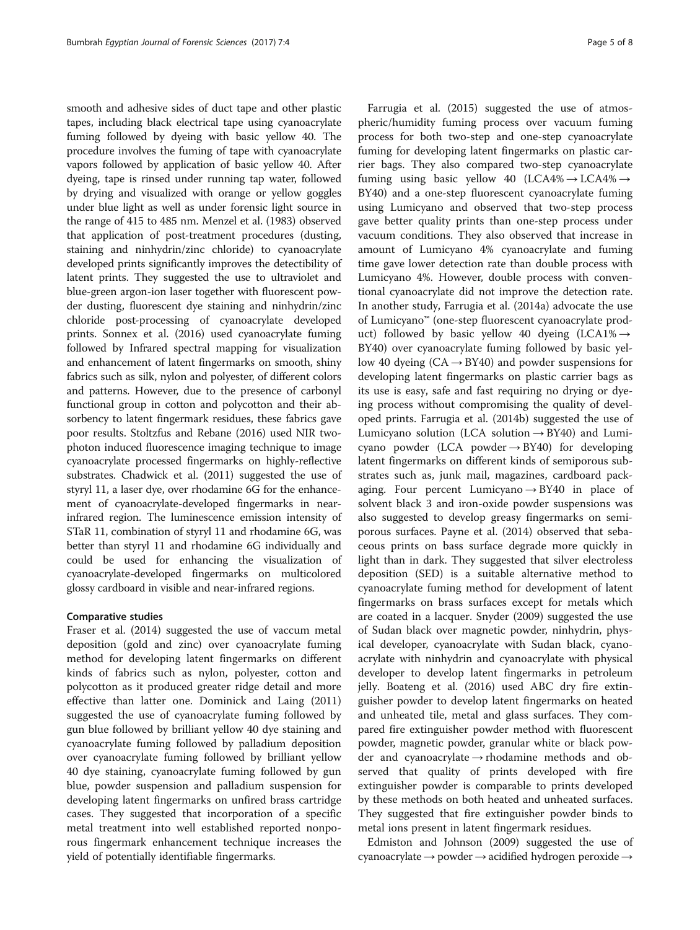smooth and adhesive sides of duct tape and other plastic tapes, including black electrical tape using cyanoacrylate fuming followed by dyeing with basic yellow 40. The procedure involves the fuming of tape with cyanoacrylate vapors followed by application of basic yellow 40. After dyeing, tape is rinsed under running tap water, followed by drying and visualized with orange or yellow goggles under blue light as well as under forensic light source in the range of 415 to 485 nm. Menzel et al. [\(1983\)](#page-6-0) observed that application of post-treatment procedures (dusting, staining and ninhydrin/zinc chloride) to cyanoacrylate developed prints significantly improves the detectibility of latent prints. They suggested the use to ultraviolet and blue-green argon-ion laser together with fluorescent powder dusting, fluorescent dye staining and ninhydrin/zinc chloride post-processing of cyanoacrylate developed prints. Sonnex et al. ([2016](#page-7-0)) used cyanoacrylate fuming followed by Infrared spectral mapping for visualization and enhancement of latent fingermarks on smooth, shiny fabrics such as silk, nylon and polyester, of different colors and patterns. However, due to the presence of carbonyl functional group in cotton and polycotton and their absorbency to latent fingermark residues, these fabrics gave poor results. Stoltzfus and Rebane ([2016](#page-7-0)) used NIR twophoton induced fluorescence imaging technique to image cyanoacrylate processed fingermarks on highly-reflective substrates. Chadwick et al. ([2011\)](#page-6-0) suggested the use of styryl 11, a laser dye, over rhodamine 6G for the enhancement of cyanoacrylate-developed fingermarks in nearinfrared region. The luminescence emission intensity of STaR 11, combination of styryl 11 and rhodamine 6G, was better than styryl 11 and rhodamine 6G individually and could be used for enhancing the visualization of cyanoacrylate-developed fingermarks on multicolored glossy cardboard in visible and near-infrared regions.

#### Comparative studies

Fraser et al. [\(2014](#page-6-0)) suggested the use of vaccum metal deposition (gold and zinc) over cyanoacrylate fuming method for developing latent fingermarks on different kinds of fabrics such as nylon, polyester, cotton and polycotton as it produced greater ridge detail and more effective than latter one. Dominick and Laing ([2011](#page-6-0)) suggested the use of cyanoacrylate fuming followed by gun blue followed by brilliant yellow 40 dye staining and cyanoacrylate fuming followed by palladium deposition over cyanoacrylate fuming followed by brilliant yellow 40 dye staining, cyanoacrylate fuming followed by gun blue, powder suspension and palladium suspension for developing latent fingermarks on unfired brass cartridge cases. They suggested that incorporation of a specific metal treatment into well established reported nonporous fingermark enhancement technique increases the yield of potentially identifiable fingermarks.

Farrugia et al. ([2015\)](#page-6-0) suggested the use of atmospheric/humidity fuming process over vacuum fuming process for both two-step and one-step cyanoacrylate fuming for developing latent fingermarks on plastic carrier bags. They also compared two-step cyanoacrylate fuming using basic yellow 40 (LCA4% $\rightarrow$  LCA4% $\rightarrow$ BY40) and a one-step fluorescent cyanoacrylate fuming using Lumicyano and observed that two-step process gave better quality prints than one-step process under vacuum conditions. They also observed that increase in amount of Lumicyano 4% cyanoacrylate and fuming time gave lower detection rate than double process with Lumicyano 4%. However, double process with conventional cyanoacrylate did not improve the detection rate. In another study, Farrugia et al. [\(2014a](#page-6-0)) advocate the use of Lumicyano™ (one-step fluorescent cyanoacrylate product) followed by basic yellow 40 dyeing  $(LCA1\% \rightarrow$ BY40) over cyanoacrylate fuming followed by basic yellow 40 dyeing  $(CA \rightarrow BY40)$  and powder suspensions for developing latent fingermarks on plastic carrier bags as its use is easy, safe and fast requiring no drying or dyeing process without compromising the quality of developed prints. Farrugia et al. [\(2014b](#page-6-0)) suggested the use of Lumicyano solution (LCA solution  $\rightarrow$  BY40) and Lumicyano powder (LCA powder  $\rightarrow$  BY40) for developing latent fingermarks on different kinds of semiporous substrates such as, junk mail, magazines, cardboard packaging. Four percent Lumicyano  $\rightarrow$  BY40 in place of solvent black 3 and iron-oxide powder suspensions was also suggested to develop greasy fingermarks on semiporous surfaces. Payne et al. ([2014](#page-7-0)) observed that sebaceous prints on bass surface degrade more quickly in light than in dark. They suggested that silver electroless deposition (SED) is a suitable alternative method to cyanoacrylate fuming method for development of latent fingermarks on brass surfaces except for metals which are coated in a lacquer. Snyder ([2009](#page-7-0)) suggested the use of Sudan black over magnetic powder, ninhydrin, physical developer, cyanoacrylate with Sudan black, cyanoacrylate with ninhydrin and cyanoacrylate with physical developer to develop latent fingermarks in petroleum jelly. Boateng et al. ([2016](#page-6-0)) used ABC dry fire extinguisher powder to develop latent fingermarks on heated and unheated tile, metal and glass surfaces. They compared fire extinguisher powder method with fluorescent powder, magnetic powder, granular white or black powder and cyanoacrylate → rhodamine methods and observed that quality of prints developed with fire extinguisher powder is comparable to prints developed by these methods on both heated and unheated surfaces. They suggested that fire extinguisher powder binds to metal ions present in latent fingermark residues.

Edmiston and Johnson ([2009\)](#page-6-0) suggested the use of cyanoacrylate  $\rightarrow$  powder  $\rightarrow$  acidified hydrogen peroxide  $\rightarrow$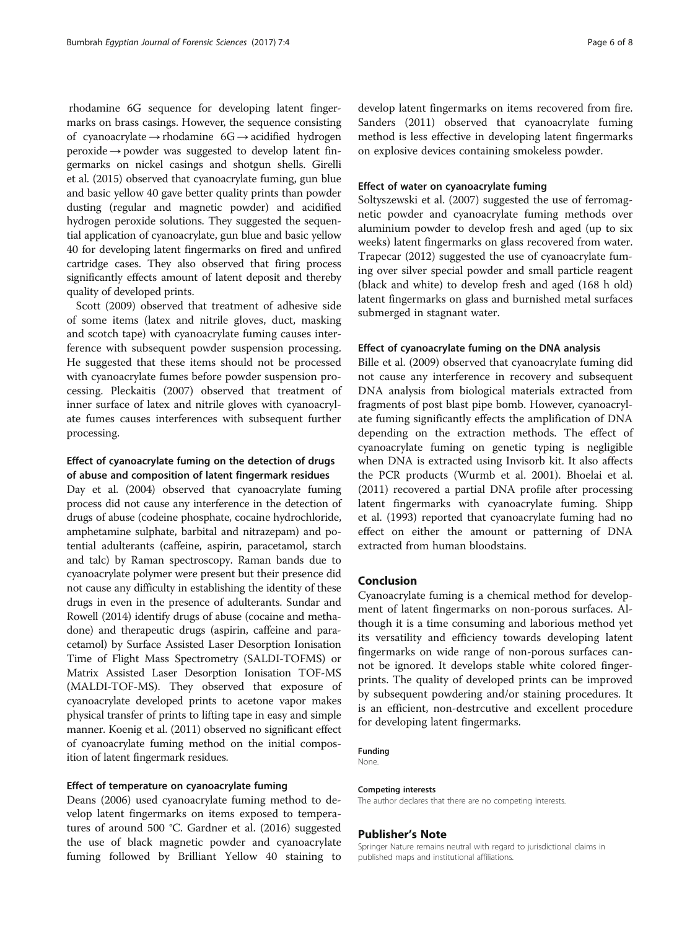rhodamine 6G sequence for developing latent fingermarks on brass casings. However, the sequence consisting of cyanoacrylate → rhodamine  $6G \rightarrow$  acidified hydrogen  $peroxide \rightarrow powder$  was suggested to develop latent fingermarks on nickel casings and shotgun shells. Girelli et al. [\(2015](#page-6-0)) observed that cyanoacrylate fuming, gun blue and basic yellow 40 gave better quality prints than powder dusting (regular and magnetic powder) and acidified hydrogen peroxide solutions. They suggested the sequential application of cyanoacrylate, gun blue and basic yellow 40 for developing latent fingermarks on fired and unfired cartridge cases. They also observed that firing process significantly effects amount of latent deposit and thereby quality of developed prints.

Scott ([2009](#page-7-0)) observed that treatment of adhesive side of some items (latex and nitrile gloves, duct, masking and scotch tape) with cyanoacrylate fuming causes interference with subsequent powder suspension processing. He suggested that these items should not be processed with cyanoacrylate fumes before powder suspension processing. Pleckaitis ([2007\)](#page-7-0) observed that treatment of inner surface of latex and nitrile gloves with cyanoacrylate fumes causes interferences with subsequent further processing.

#### Effect of cyanoacrylate fuming on the detection of drugs of abuse and composition of latent fingermark residues

Day et al. ([2004](#page-6-0)) observed that cyanoacrylate fuming process did not cause any interference in the detection of drugs of abuse (codeine phosphate, cocaine hydrochloride, amphetamine sulphate, barbital and nitrazepam) and potential adulterants (caffeine, aspirin, paracetamol, starch and talc) by Raman spectroscopy. Raman bands due to cyanoacrylate polymer were present but their presence did not cause any difficulty in establishing the identity of these drugs in even in the presence of adulterants. Sundar and Rowell ([2014\)](#page-7-0) identify drugs of abuse (cocaine and methadone) and therapeutic drugs (aspirin, caffeine and paracetamol) by Surface Assisted Laser Desorption Ionisation Time of Flight Mass Spectrometry (SALDI-TOFMS) or Matrix Assisted Laser Desorption Ionisation TOF-MS (MALDI-TOF-MS). They observed that exposure of cyanoacrylate developed prints to acetone vapor makes physical transfer of prints to lifting tape in easy and simple manner. Koenig et al. [\(2011\)](#page-6-0) observed no significant effect of cyanoacrylate fuming method on the initial composition of latent fingermark residues.

#### Effect of temperature on cyanoacrylate fuming

Deans ([2006\)](#page-6-0) used cyanoacrylate fuming method to develop latent fingermarks on items exposed to temperatures of around 500 °C. Gardner et al. ([2016](#page-6-0)) suggested the use of black magnetic powder and cyanoacrylate fuming followed by Brilliant Yellow 40 staining to develop latent fingermarks on items recovered from fire. Sanders ([2011](#page-7-0)) observed that cyanoacrylate fuming method is less effective in developing latent fingermarks on explosive devices containing smokeless powder.

#### Effect of water on cyanoacrylate fuming

Soltyszewski et al. [\(2007\)](#page-7-0) suggested the use of ferromagnetic powder and cyanoacrylate fuming methods over aluminium powder to develop fresh and aged (up to six weeks) latent fingermarks on glass recovered from water. Trapecar ([2012](#page-7-0)) suggested the use of cyanoacrylate fuming over silver special powder and small particle reagent (black and white) to develop fresh and aged (168 h old) latent fingermarks on glass and burnished metal surfaces submerged in stagnant water.

#### Effect of cyanoacrylate fuming on the DNA analysis

Bille et al. [\(2009\)](#page-6-0) observed that cyanoacrylate fuming did not cause any interference in recovery and subsequent DNA analysis from biological materials extracted from fragments of post blast pipe bomb. However, cyanoacrylate fuming significantly effects the amplification of DNA depending on the extraction methods. The effect of cyanoacrylate fuming on genetic typing is negligible when DNA is extracted using Invisorb kit. It also affects the PCR products (Wurmb et al. [2001](#page-7-0)). Bhoelai et al. ([2011\)](#page-6-0) recovered a partial DNA profile after processing latent fingermarks with cyanoacrylate fuming. Shipp et al. [\(1993\)](#page-7-0) reported that cyanoacrylate fuming had no effect on either the amount or patterning of DNA extracted from human bloodstains.

#### Conclusion

Cyanoacrylate fuming is a chemical method for development of latent fingermarks on non-porous surfaces. Although it is a time consuming and laborious method yet its versatility and efficiency towards developing latent fingermarks on wide range of non-porous surfaces cannot be ignored. It develops stable white colored fingerprints. The quality of developed prints can be improved by subsequent powdering and/or staining procedures. It is an efficient, non-destrcutive and excellent procedure for developing latent fingermarks.

#### Funding

None.

#### Competing interests

The author declares that there are no competing interests.

#### Publisher's Note

Springer Nature remains neutral with regard to jurisdictional claims in published maps and institutional affiliations.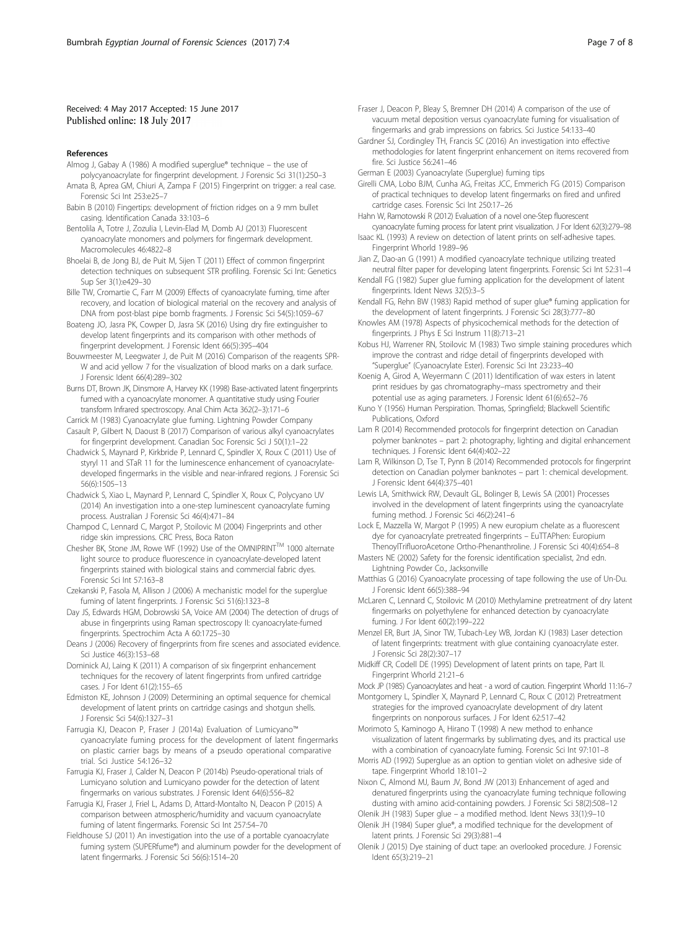#### <span id="page-6-0"></span>Received: 4 May 2017 Accepted: 15 June 2017 Published online: 18 July 2017

#### References

- Almog J, Gabay A (1986) A modified superglue® technique the use of polycyanoacrylate for fingerprint development. J Forensic Sci 31(1):250–3
- Amata B, Aprea GM, Chiuri A, Zampa F (2015) Fingerprint on trigger: a real case. Forensic Sci Int 253:e25–7
- Babin B (2010) Fingertips: development of friction ridges on a 9 mm bullet casing. Identification Canada 33:103–6
- Bentolila A, Totre J, Zozulia I, Levin-Elad M, Domb AJ (2013) Fluorescent cyanoacrylate monomers and polymers for fingermark development. Macromolecules 46:4822–8
- Bhoelai B, de Jong BJ, de Puit M, Sijen T (2011) Effect of common fingerprint detection techniques on subsequent STR profiling. Forensic Sci Int: Genetics Sup Ser 3(1):e429–30
- Bille TW, Cromartie C, Farr M (2009) Effects of cyanoacrylate fuming, time after recovery, and location of biological material on the recovery and analysis of DNA from post-blast pipe bomb fragments. J Forensic Sci 54(5):1059–67
- Boateng JO, Jasra PK, Cowper D, Jasra SK (2016) Using dry fire extinguisher to develop latent fingerprints and its comparison with other methods of fingerprint development. J Forensic Ident 66(5):395–404
- Bouwmeester M, Leegwater J, de Puit M (2016) Comparison of the reagents SPR-W and acid yellow 7 for the visualization of blood marks on a dark surface. J Forensic Ident 66(4):289–302
- Burns DT, Brown JK, Dinsmore A, Harvey KK (1998) Base-activated latent fingerprints fumed with a cyanoacrylate monomer. A quantitative study using Fourier transform Infrared spectroscopy. Anal Chim Acta 362(2–3):171–6
- Carrick M (1983) Cyanoacrylate glue fuming. Lightning Powder Company Casault P, Gilbert N, Daoust B (2017) Comparison of various alkyl cyanoacrylates for fingerprint development. Canadian Soc Forensic Sci J 50(1):1–22
- Chadwick S, Maynard P, Kirkbride P, Lennard C, Spindler X, Roux C (2011) Use of styryl 11 and STaR 11 for the luminescence enhancement of cyanoacrylatedeveloped fingermarks in the visible and near-infrared regions. J Forensic Sci 56(6):1505–13
- Chadwick S, Xiao L, Maynard P, Lennard C, Spindler X, Roux C, Polycyano UV (2014) An investigation into a one-step luminescent cyanoacrylate fuming process. Australian J Forensic Sci 46(4):471–84
- Champod C, Lennard C, Margot P, Stoilovic M (2004) Fingerprints and other ridge skin impressions. CRC Press, Boca Raton
- Chesher BK, Stone JM, Rowe WF (1992) Use of the OMNIPRINTTM 1000 alternate light source to produce fluorescence in cyanoacrylate-developed latent fingerprints stained with biological stains and commercial fabric dyes. Forensic Sci Int 57:163–8
- Czekanski P, Fasola M, Allison J (2006) A mechanistic model for the superglue fuming of latent fingerprints. J Forensic Sci 51(6):1323–8
- Day JS, Edwards HGM, Dobrowski SA, Voice AM (2004) The detection of drugs of abuse in fingerprints using Raman spectroscopy II: cyanoacrylate-fumed fingerprints. Spectrochim Acta A 60:1725–30
- Deans J (2006) Recovery of fingerprints from fire scenes and associated evidence. Sci Justice 46(3):153–68
- Dominick AJ, Laing K (2011) A comparison of six fingerprint enhancement techniques for the recovery of latent fingerprints from unfired cartridge cases. J For Ident 61(2):155–65
- Edmiston KE, Johnson J (2009) Determining an optimal sequence for chemical development of latent prints on cartridge casings and shotgun shells. J Forensic Sci 54(6):1327–31
- Farrugia KJ, Deacon P, Fraser J (2014a) Evaluation of Lumicyano™ cyanoacrylate fuming process for the development of latent fingermarks on plastic carrier bags by means of a pseudo operational comparative trial. Sci Justice 54:126–32
- Farrugia KJ, Fraser J, Calder N, Deacon P (2014b) Pseudo-operational trials of Lumicyano solution and Lumicyano powder for the detection of latent fingermarks on various substrates. J Forensic Ident 64(6):556–82
- Farrugia KJ, Fraser J, Friel L, Adams D, Attard-Montalto N, Deacon P (2015) A comparison between atmospheric/humidity and vacuum cyanoacrylate fuming of latent fingermarks. Forensic Sci Int 257:54–70
- Fieldhouse SJ (2011) An investigation into the use of a portable cyanoacrylate fuming system (SUPERfume®) and aluminum powder for the development of latent fingermarks. J Forensic Sci 56(6):1514–20
- Fraser J, Deacon P, Bleay S, Bremner DH (2014) A comparison of the use of vacuum metal deposition versus cyanoacrylate fuming for visualisation of fingermarks and grab impressions on fabrics. Sci Justice 54:133–40
- Gardner SJ, Cordingley TH, Francis SC (2016) An investigation into effective methodologies for latent fingerprint enhancement on items recovered from fire. Sci Justice 56:241–46
- German E (2003) Cyanoacrylate (Superglue) fuming tips
- Girelli CMA, Lobo BJM, Cunha AG, Freitas JCC, Emmerich FG (2015) Comparison of practical techniques to develop latent fingermarks on fired and unfired cartridge cases. Forensic Sci Int 250:17–26
- Hahn W, Ramotowski R (2012) Evaluation of a novel one-Step fluorescent cyanoacrylate fuming process for latent print visualization. J For Ident 62(3):279–98
- Isaac KL (1993) A review on detection of latent prints on self-adhesive tapes. Fingerprint Whorld 19:89–96
- Jian Z, Dao-an G (1991) A modified cyanoacrylate technique utilizing treated neutral filter paper for developing latent fingerprints. Forensic Sci Int 52:31–4
- Kendall FG (1982) Super glue fuming application for the development of latent fingerprints. Ident News 32(5):3–5
- Kendall FG, Rehn BW (1983) Rapid method of super glue® fuming application for the development of latent fingerprints. J Forensic Sci 28(3):777–80
- Knowles AM (1978) Aspects of physicochemical methods for the detection of fingerprints. J Phys E Sci Instrum 11(8):713–21
- Kobus HJ, Warrener RN, Stoilovic M (1983) Two simple staining procedures which improve the contrast and ridge detail of fingerprints developed with "Superglue" (Cyanoacrylate Ester). Forensic Sci Int 23:233–40
- Koenig A, Girod A, Weyermann C (2011) Identification of wax esters in latent print residues by gas chromatography–mass spectrometry and their potential use as aging parameters. J Forensic Ident 61(6):652–76
- Kuno Y (1956) Human Perspiration. Thomas, Springfield; Blackwell Scientific Publications, Oxford
- Lam R (2014) Recommended protocols for fingerprint detection on Canadian polymer banknotes – part 2: photography, lighting and digital enhancement techniques. J Forensic Ident 64(4):402–22
- Lam R, Wilkinson D, Tse T, Pynn B (2014) Recommended protocols for fingerprint detection on Canadian polymer banknotes – part 1: chemical development. J Forensic Ident 64(4):375–401
- Lewis LA, Smithwick RW, Devault GL, Bolinger B, Lewis SA (2001) Processes involved in the development of latent fingerprints using the cyanoacrylate fuming method. J Forensic Sci 46(2):241–6
- Lock E, Mazzella W, Margot P (1995) A new europium chelate as a fluorescent dye for cyanoacrylate pretreated fingerprints – EuTTAPhen: Europium ThenoylTrifluoroAcetone Ortho-Phenanthroline. J Forensic Sci 40(4):654–8
- Masters NE (2002) Safety for the forensic identification specialist, 2nd edn. Lightning Powder Co., Jacksonville
- Matthias G (2016) Cyanoacrylate processing of tape following the use of Un-Du. J Forensic Ident 66(5):388–94
- McLaren C, Lennard C, Stoilovic M (2010) Methylamine pretreatment of dry latent fingermarks on polyethylene for enhanced detection by cyanoacrylate fuming. J For Ident 60(2):199–222
- Menzel ER, Burt JA, Sinor TW, Tubach-Ley WB, Jordan KJ (1983) Laser detection of latent fingerprints: treatment with glue containing cyanoacrylate ester. J Forensic Sci 28(2):307–17
- Midkiff CR, Codell DE (1995) Development of latent prints on tape, Part II. Fingerprint Whorld 21:21–6

Mock JP (1985) Cyanoacrylates and heat - a word of caution. Fingerprint Whorld 11:16–7 Montgomery L, Spindler X, Maynard P, Lennard C, Roux C (2012) Pretreatment

- strategies for the improved cyanoacrylate development of dry latent fingerprints on nonporous surfaces. J For Ident 62:517–42
- Morimoto S, Kaminogo A, Hirano T (1998) A new method to enhance visualization of latent fingermarks by sublimating dyes, and its practical use with a combination of cyanoacrylate fuming. Forensic Sci Int 97:101–8
- Morris AD (1992) Superglue as an option to gentian violet on adhesive side of tape. Fingerprint Whorld 18:101–2
- Nixon C, Almond MJ, Baum JV, Bond JW (2013) Enhancement of aged and denatured fingerprints using the cyanoacrylate fuming technique following dusting with amino acid-containing powders. J Forensic Sci 58(2):508–12
- Olenik JH (1983) Super glue a modified method. Ident News 33(1):9–10 Olenik JH (1984) Super glue®, a modified technique for the development of
- latent prints. J Forensic Sci 29(3):881–4 Olenik J (2015) Dye staining of duct tape: an overlooked procedure. J Forensic Ident 65(3):219–21